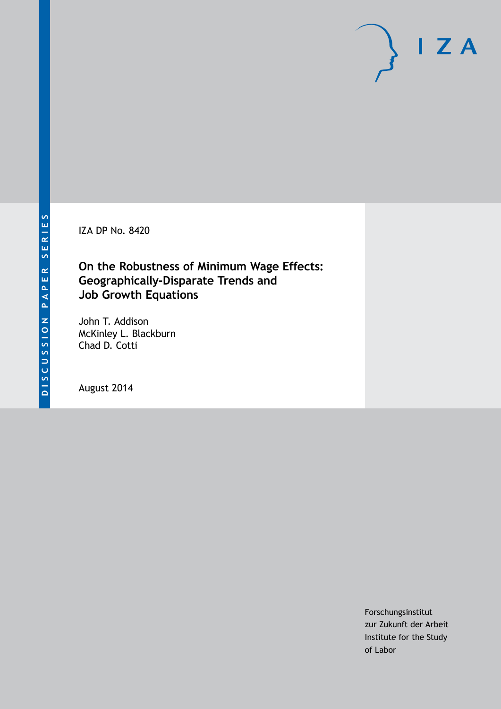

IZA DP No. 8420

# **On the Robustness of Minimum Wage Effects: Geographically-Disparate Trends and Job Growth Equations**

John T. Addison McKinley L. Blackburn Chad D. Cotti

August 2014

Forschungsinstitut zur Zukunft der Arbeit Institute for the Study of Labor

 $I Z A$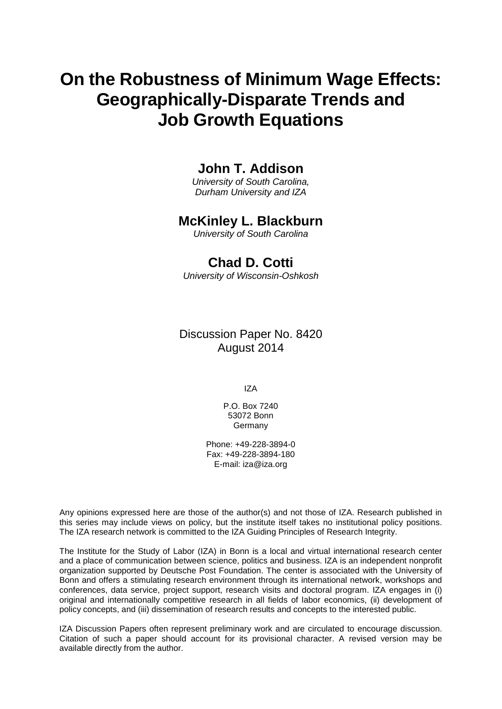# **On the Robustness of Minimum Wage Effects: Geographically-Disparate Trends and Job Growth Equations**

# **John T. Addison**

*University of South Carolina, Durham University and IZA*

# **McKinley L. Blackburn**

*University of South Carolina*

# **Chad D. Cotti**

*University of Wisconsin-Oshkosh*

Discussion Paper No. 8420 August 2014

IZA

P.O. Box 7240 53072 Bonn Germany

Phone: +49-228-3894-0 Fax: +49-228-3894-180 E-mail: [iza@iza.org](mailto:iza@iza.org)

Any opinions expressed here are those of the author(s) and not those of IZA. Research published in this series may include views on policy, but the institute itself takes no institutional policy positions. The IZA research network is committed to the IZA Guiding Principles of Research Integrity.

The Institute for the Study of Labor (IZA) in Bonn is a local and virtual international research center and a place of communication between science, politics and business. IZA is an independent nonprofit organization supported by Deutsche Post Foundation. The center is associated with the University of Bonn and offers a stimulating research environment through its international network, workshops and conferences, data service, project support, research visits and doctoral program. IZA engages in (i) original and internationally competitive research in all fields of labor economics, (ii) development of policy concepts, and (iii) dissemination of research results and concepts to the interested public.

IZA Discussion Papers often represent preliminary work and are circulated to encourage discussion. Citation of such a paper should account for its provisional character. A revised version may be available directly from the author.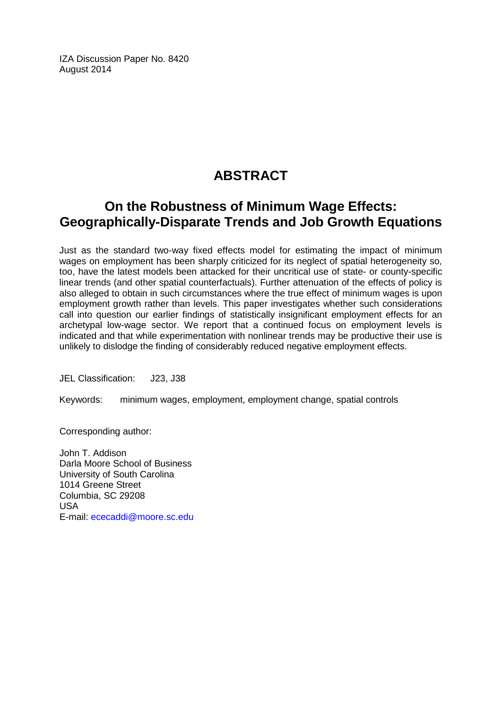IZA Discussion Paper No. 8420 August 2014

# **ABSTRACT**

# **On the Robustness of Minimum Wage Effects: Geographically-Disparate Trends and Job Growth Equations**

Just as the standard two-way fixed effects model for estimating the impact of minimum wages on employment has been sharply criticized for its neglect of spatial heterogeneity so, too, have the latest models been attacked for their uncritical use of state- or county-specific linear trends (and other spatial counterfactuals). Further attenuation of the effects of policy is also alleged to obtain in such circumstances where the true effect of minimum wages is upon employment growth rather than levels. This paper investigates whether such considerations call into question our earlier findings of statistically insignificant employment effects for an archetypal low-wage sector. We report that a continued focus on employment levels is indicated and that while experimentation with nonlinear trends may be productive their use is unlikely to dislodge the finding of considerably reduced negative employment effects.

JEL Classification: J23, J38

Keywords: minimum wages, employment, employment change, spatial controls

Corresponding author:

John T. Addison Darla Moore School of Business University of South Carolina 1014 Greene Street Columbia, SC 29208 USA E-mail: [ececaddi@moore.sc.edu](mailto:ececaddi@moore.sc.edu)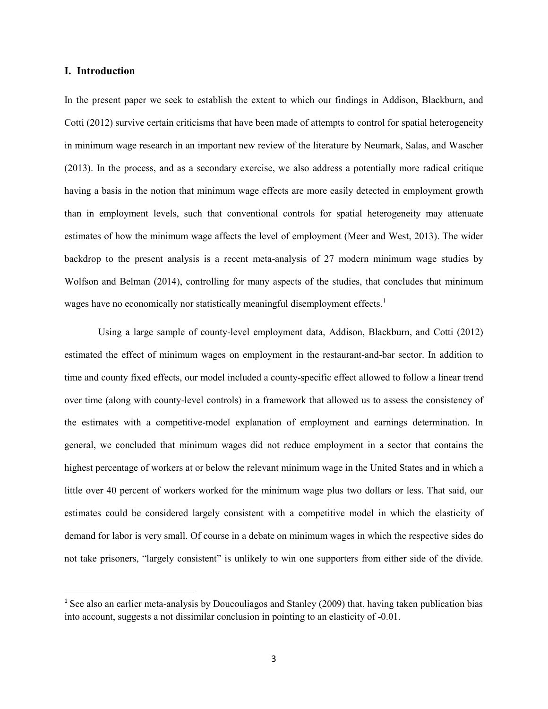## **I. Introduction**

In the present paper we seek to establish the extent to which our findings in Addison, Blackburn, and Cotti (2012) survive certain criticisms that have been made of attempts to control for spatial heterogeneity in minimum wage research in an important new review of the literature by Neumark, Salas, and Wascher (2013). In the process, and as a secondary exercise, we also address a potentially more radical critique having a basis in the notion that minimum wage effects are more easily detected in employment growth than in employment levels, such that conventional controls for spatial heterogeneity may attenuate estimates of how the minimum wage affects the level of employment (Meer and West, 2013). The wider backdrop to the present analysis is a recent meta-analysis of 27 modern minimum wage studies by Wolfson and Belman (2014), controlling for many aspects of the studies, that concludes that minimum wages have no economically nor statistically meaningful disemployment effects.<sup>1</sup>

Using a large sample of county-level employment data, Addison, Blackburn, and Cotti (2012) estimated the effect of minimum wages on employment in the restaurant-and-bar sector. In addition to time and county fixed effects, our model included a county-specific effect allowed to follow a linear trend over time (along with county-level controls) in a framework that allowed us to assess the consistency of the estimates with a competitive-model explanation of employment and earnings determination. In general, we concluded that minimum wages did not reduce employment in a sector that contains the highest percentage of workers at or below the relevant minimum wage in the United States and in which a little over 40 percent of workers worked for the minimum wage plus two dollars or less. That said, our estimates could be considered largely consistent with a competitive model in which the elasticity of demand for labor is very small. Of course in a debate on minimum wages in which the respective sides do not take prisoners, "largely consistent" is unlikely to win one supporters from either side of the divide.

<span id="page-3-0"></span><sup>&</sup>lt;sup>1</sup> See also an earlier meta-analysis by Doucouliagos and Stanley (2009) that, having taken publication bias into account, suggests a not dissimilar conclusion in pointing to an elasticity of -0.01.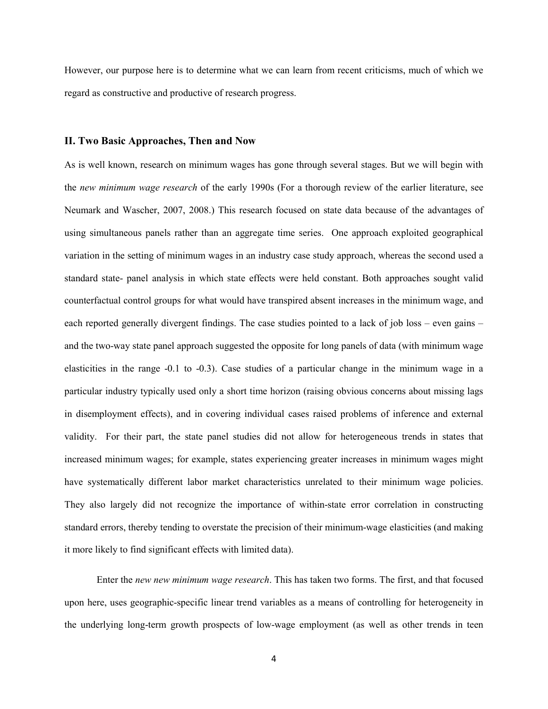However, our purpose here is to determine what we can learn from recent criticisms, much of which we regard as constructive and productive of research progress.

#### **II. Two Basic Approaches, Then and Now**

As is well known, research on minimum wages has gone through several stages. But we will begin with the *new minimum wage research* of the early 1990s (For a thorough review of the earlier literature, see Neumark and Wascher, 2007, 2008.) This research focused on state data because of the advantages of using simultaneous panels rather than an aggregate time series. One approach exploited geographical variation in the setting of minimum wages in an industry case study approach, whereas the second used a standard state- panel analysis in which state effects were held constant. Both approaches sought valid counterfactual control groups for what would have transpired absent increases in the minimum wage, and each reported generally divergent findings. The case studies pointed to a lack of job loss – even gains – and the two-way state panel approach suggested the opposite for long panels of data (with minimum wage elasticities in the range -0.1 to -0.3). Case studies of a particular change in the minimum wage in a particular industry typically used only a short time horizon (raising obvious concerns about missing lags in disemployment effects), and in covering individual cases raised problems of inference and external validity. For their part, the state panel studies did not allow for heterogeneous trends in states that increased minimum wages; for example, states experiencing greater increases in minimum wages might have systematically different labor market characteristics unrelated to their minimum wage policies. They also largely did not recognize the importance of within-state error correlation in constructing standard errors, thereby tending to overstate the precision of their minimum-wage elasticities (and making it more likely to find significant effects with limited data).

Enter the *new new minimum wage research*. This has taken two forms. The first, and that focused upon here, uses geographic-specific linear trend variables as a means of controlling for heterogeneity in the underlying long-term growth prospects of low-wage employment (as well as other trends in teen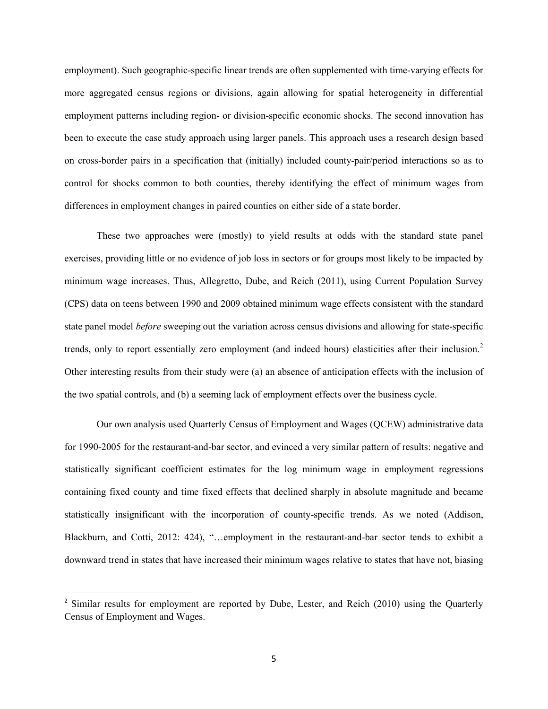employment). Such geographic-specific linear trends are often supplemented with time-varying effects for more aggregated census regions or divisions, again allowing for spatial heterogeneity in differential employment patterns including region- or division-specific economic shocks. The second innovation has been to execute the case study approach using larger panels. This approach uses a research design based on cross-border pairs in a specification that (initially) included county-pair/period interactions so as to control for shocks common to both counties, thereby identifying the effect of minimum wages from differences in employment changes in paired counties on either side of a state border.

These two approaches were (mostly) to yield results at odds with the standard state panel exercises, providing little or no evidence of job loss in sectors or for groups most likely to be impacted by minimum wage increases. Thus, Allegretto, Dube, and Reich (2011), using Current Population Survey (CPS) data on teens between 1990 and 2009 obtained minimum wage effects consistent with the standard state panel model *before* sweeping out the variation across census divisions and allowing for state-specific trends, only to report essentially zero employment (and indeed hours) elasticities after their inclusion.[2](#page-3-0) Other interesting results from their study were (a) an absence of anticipation effects with the inclusion of the two spatial controls, and (b) a seeming lack of employment effects over the business cycle.

Our own analysis used Quarterly Census of Employment and Wages (QCEW) administrative data for 1990-2005 for the restaurant-and-bar sector, and evinced a very similar pattern of results: negative and statistically significant coefficient estimates for the log minimum wage in employment regressions containing fixed county and time fixed effects that declined sharply in absolute magnitude and became statistically insignificant with the incorporation of county-specific trends. As we noted (Addison, Blackburn, and Cotti, 2012: 424), "…employment in the restaurant-and-bar sector tends to exhibit a downward trend in states that have increased their minimum wages relative to states that have not, biasing

<span id="page-5-0"></span><sup>&</sup>lt;sup>2</sup> Similar results for employment are reported by Dube, Lester, and Reich (2010) using the Quarterly Census of Employment and Wages.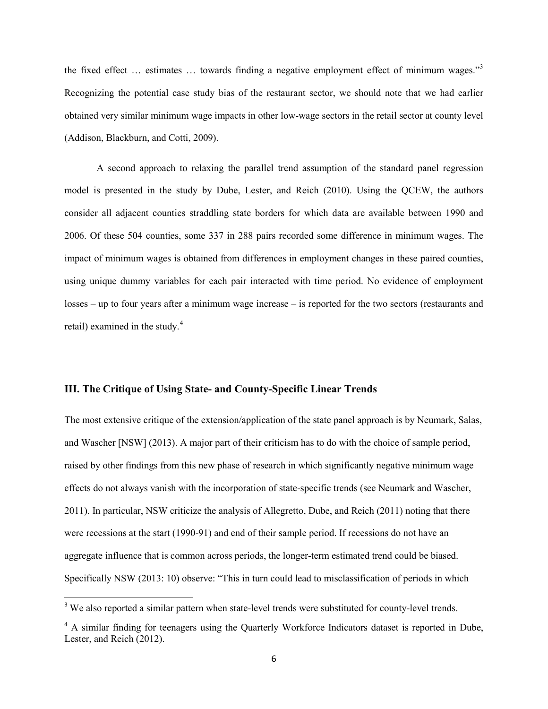the fixed effect … estimates … towards finding a negative employment effect of minimum wages."[3](#page-5-0) Recognizing the potential case study bias of the restaurant sector, we should note that we had earlier obtained very similar minimum wage impacts in other low-wage sectors in the retail sector at county level (Addison, Blackburn, and Cotti, 2009).

A second approach to relaxing the parallel trend assumption of the standard panel regression model is presented in the study by Dube, Lester, and Reich (2010). Using the QCEW, the authors consider all adjacent counties straddling state borders for which data are available between 1990 and 2006. Of these 504 counties, some 337 in 288 pairs recorded some difference in minimum wages. The impact of minimum wages is obtained from differences in employment changes in these paired counties, using unique dummy variables for each pair interacted with time period. No evidence of employment losses – up to four years after a minimum wage increase – is reported for the two sectors (restaurants and retail) examined in the study.<sup>[4](#page-6-0)</sup>

# **III. The Critique of Using State- and County-Specific Linear Trends**

The most extensive critique of the extension/application of the state panel approach is by Neumark, Salas, and Wascher [NSW] (2013). A major part of their criticism has to do with the choice of sample period, raised by other findings from this new phase of research in which significantly negative minimum wage effects do not always vanish with the incorporation of state-specific trends (see Neumark and Wascher, 2011). In particular, NSW criticize the analysis of Allegretto, Dube, and Reich (2011) noting that there were recessions at the start (1990-91) and end of their sample period. If recessions do not have an aggregate influence that is common across periods, the longer-term estimated trend could be biased. Specifically NSW (2013: 10) observe: "This in turn could lead to misclassification of periods in which

<span id="page-6-1"></span><sup>&</sup>lt;sup>3</sup> We also reported a similar pattern when state-level trends were substituted for county-level trends.

<span id="page-6-0"></span><sup>&</sup>lt;sup>4</sup> A similar finding for teenagers using the Quarterly Workforce Indicators dataset is reported in Dube, Lester, and Reich (2012).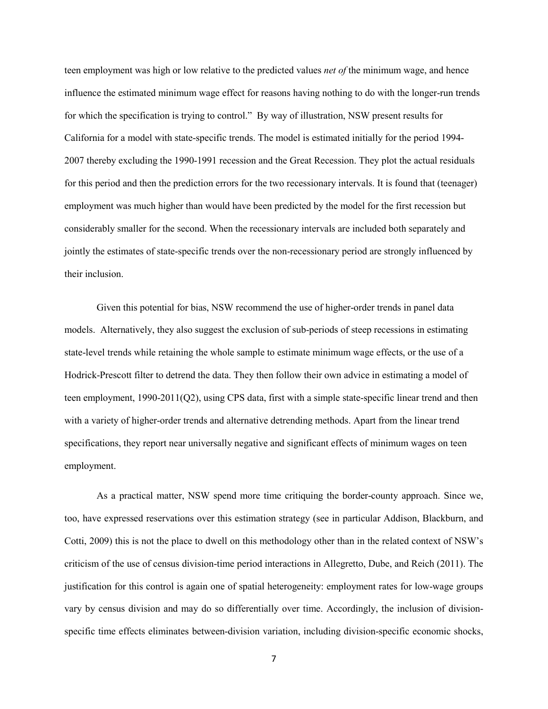teen employment was high or low relative to the predicted values *net of* the minimum wage, and hence influence the estimated minimum wage effect for reasons having nothing to do with the longer-run trends for which the specification is trying to control." By way of illustration, NSW present results for California for a model with state-specific trends. The model is estimated initially for the period 1994- 2007 thereby excluding the 1990-1991 recession and the Great Recession. They plot the actual residuals for this period and then the prediction errors for the two recessionary intervals. It is found that (teenager) employment was much higher than would have been predicted by the model for the first recession but considerably smaller for the second. When the recessionary intervals are included both separately and jointly the estimates of state-specific trends over the non-recessionary period are strongly influenced by their inclusion.

Given this potential for bias, NSW recommend the use of higher-order trends in panel data models. Alternatively, they also suggest the exclusion of sub-periods of steep recessions in estimating state-level trends while retaining the whole sample to estimate minimum wage effects, or the use of a Hodrick-Prescott filter to detrend the data. They then follow their own advice in estimating a model of teen employment, 1990-2011(Q2), using CPS data, first with a simple state-specific linear trend and then with a variety of higher-order trends and alternative detrending methods. Apart from the linear trend specifications, they report near universally negative and significant effects of minimum wages on teen employment.

As a practical matter, NSW spend more time critiquing the border-county approach. Since we, too, have expressed reservations over this estimation strategy (see in particular Addison, Blackburn, and Cotti, 2009) this is not the place to dwell on this methodology other than in the related context of NSW's criticism of the use of census division-time period interactions in Allegretto, Dube, and Reich (2011). The justification for this control is again one of spatial heterogeneity: employment rates for low-wage groups vary by census division and may do so differentially over time. Accordingly, the inclusion of divisionspecific time effects eliminates between-division variation, including division-specific economic shocks,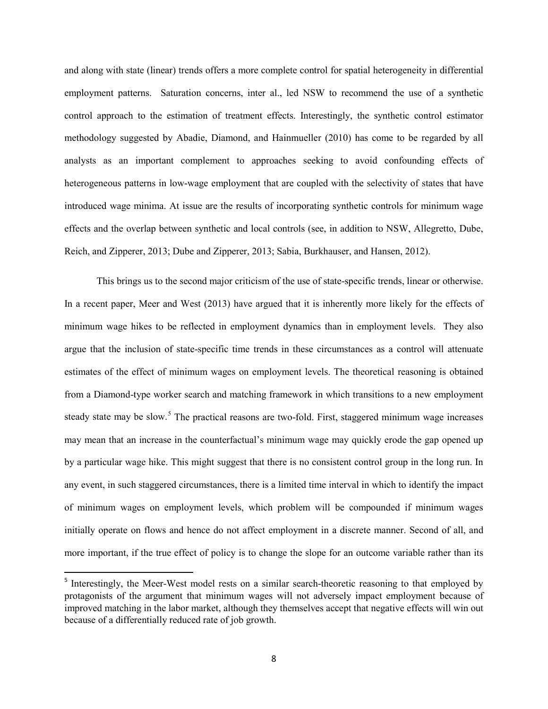and along with state (linear) trends offers a more complete control for spatial heterogeneity in differential employment patterns. Saturation concerns, inter al., led NSW to recommend the use of a synthetic control approach to the estimation of treatment effects. Interestingly, the synthetic control estimator methodology suggested by Abadie, Diamond, and Hainmueller (2010) has come to be regarded by all analysts as an important complement to approaches seeking to avoid confounding effects of heterogeneous patterns in low-wage employment that are coupled with the selectivity of states that have introduced wage minima. At issue are the results of incorporating synthetic controls for minimum wage effects and the overlap between synthetic and local controls (see, in addition to NSW, Allegretto, Dube, Reich, and Zipperer, 2013; Dube and Zipperer, 2013; Sabia, Burkhauser, and Hansen, 2012).

This brings us to the second major criticism of the use of state-specific trends, linear or otherwise. In a recent paper, Meer and West (2013) have argued that it is inherently more likely for the effects of minimum wage hikes to be reflected in employment dynamics than in employment levels. They also argue that the inclusion of state-specific time trends in these circumstances as a control will attenuate estimates of the effect of minimum wages on employment levels. The theoretical reasoning is obtained from a Diamond-type worker search and matching framework in which transitions to a new employment steady state may be slow.<sup>[5](#page-6-1)</sup> The practical reasons are two-fold. First, staggered minimum wage increases may mean that an increase in the counterfactual's minimum wage may quickly erode the gap opened up by a particular wage hike. This might suggest that there is no consistent control group in the long run. In any event, in such staggered circumstances, there is a limited time interval in which to identify the impact of minimum wages on employment levels, which problem will be compounded if minimum wages initially operate on flows and hence do not affect employment in a discrete manner. Second of all, and more important, if the true effect of policy is to change the slope for an outcome variable rather than its

<span id="page-8-0"></span><sup>&</sup>lt;sup>5</sup> Interestingly, the Meer-West model rests on a similar search-theoretic reasoning to that employed by protagonists of the argument that minimum wages will not adversely impact employment because of improved matching in the labor market, although they themselves accept that negative effects will win out because of a differentially reduced rate of job growth.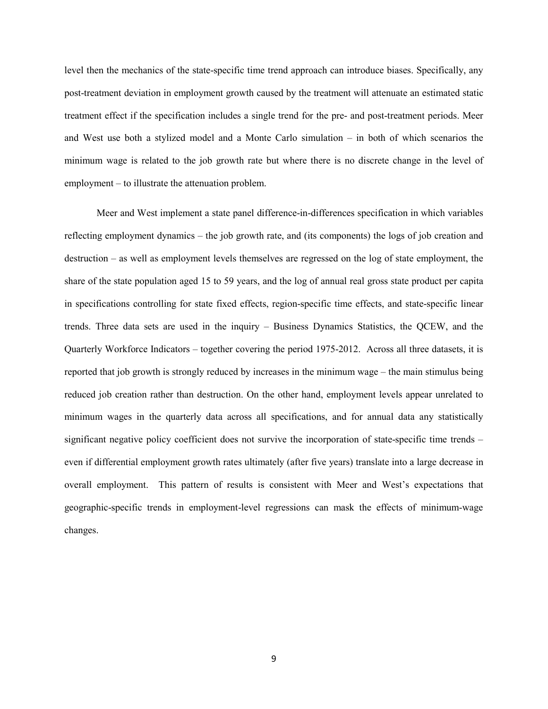level then the mechanics of the state-specific time trend approach can introduce biases. Specifically, any post-treatment deviation in employment growth caused by the treatment will attenuate an estimated static treatment effect if the specification includes a single trend for the pre- and post-treatment periods. Meer and West use both a stylized model and a Monte Carlo simulation – in both of which scenarios the minimum wage is related to the job growth rate but where there is no discrete change in the level of employment – to illustrate the attenuation problem.

Meer and West implement a state panel difference-in-differences specification in which variables reflecting employment dynamics – the job growth rate, and (its components) the logs of job creation and destruction – as well as employment levels themselves are regressed on the log of state employment, the share of the state population aged 15 to 59 years, and the log of annual real gross state product per capita in specifications controlling for state fixed effects, region-specific time effects, and state-specific linear trends. Three data sets are used in the inquiry – Business Dynamics Statistics, the QCEW, and the Quarterly Workforce Indicators – together covering the period 1975-2012. Across all three datasets, it is reported that job growth is strongly reduced by increases in the minimum wage – the main stimulus being reduced job creation rather than destruction. On the other hand, employment levels appear unrelated to minimum wages in the quarterly data across all specifications, and for annual data any statistically significant negative policy coefficient does not survive the incorporation of state-specific time trends – even if differential employment growth rates ultimately (after five years) translate into a large decrease in overall employment. This pattern of results is consistent with Meer and West's expectations that geographic-specific trends in employment-level regressions can mask the effects of minimum-wage changes.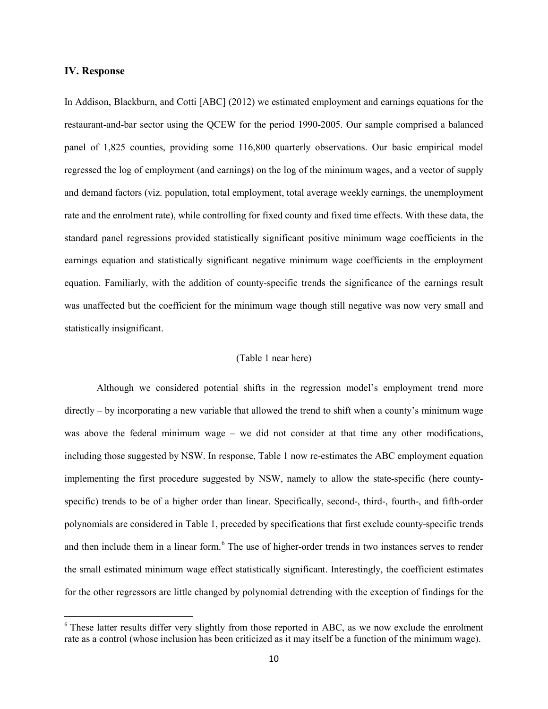### **IV. Response**

In Addison, Blackburn, and Cotti [ABC] (2012) we estimated employment and earnings equations for the restaurant-and-bar sector using the QCEW for the period 1990-2005. Our sample comprised a balanced panel of 1,825 counties, providing some 116,800 quarterly observations. Our basic empirical model regressed the log of employment (and earnings) on the log of the minimum wages, and a vector of supply and demand factors (viz. population, total employment, total average weekly earnings, the unemployment rate and the enrolment rate), while controlling for fixed county and fixed time effects. With these data, the standard panel regressions provided statistically significant positive minimum wage coefficients in the earnings equation and statistically significant negative minimum wage coefficients in the employment equation. Familiarly, with the addition of county-specific trends the significance of the earnings result was unaffected but the coefficient for the minimum wage though still negative was now very small and statistically insignificant.

## (Table 1 near here)

Although we considered potential shifts in the regression model's employment trend more directly – by incorporating a new variable that allowed the trend to shift when a county's minimum wage was above the federal minimum wage – we did not consider at that time any other modifications, including those suggested by NSW. In response, Table 1 now re-estimates the ABC employment equation implementing the first procedure suggested by NSW, namely to allow the state-specific (here countyspecific) trends to be of a higher order than linear. Specifically, second-, third-, fourth-, and fifth-order polynomials are considered in Table 1, preceded by specifications that first exclude county-specific trends and then include them in a linear form.<sup>[6](#page-8-0)</sup> The use of higher-order trends in two instances serves to render the small estimated minimum wage effect statistically significant. Interestingly, the coefficient estimates for the other regressors are little changed by polynomial detrending with the exception of findings for the

<span id="page-10-0"></span><sup>&</sup>lt;sup>6</sup> These latter results differ very slightly from those reported in ABC, as we now exclude the enrolment rate as a control (whose inclusion has been criticized as it may itself be a function of the minimum wage).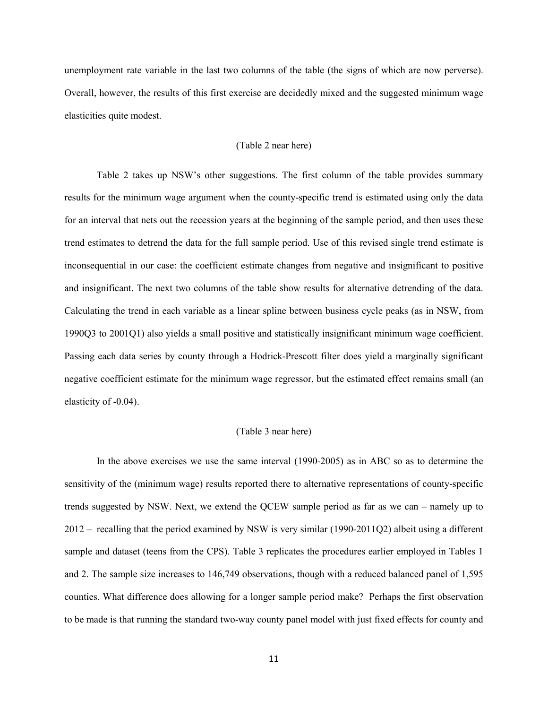unemployment rate variable in the last two columns of the table (the signs of which are now perverse). Overall, however, the results of this first exercise are decidedly mixed and the suggested minimum wage elasticities quite modest.

### (Table 2 near here)

Table 2 takes up NSW's other suggestions. The first column of the table provides summary results for the minimum wage argument when the county-specific trend is estimated using only the data for an interval that nets out the recession years at the beginning of the sample period, and then uses these trend estimates to detrend the data for the full sample period. Use of this revised single trend estimate is inconsequential in our case: the coefficient estimate changes from negative and insignificant to positive and insignificant. The next two columns of the table show results for alternative detrending of the data. Calculating the trend in each variable as a linear spline between business cycle peaks (as in NSW, from 1990Q3 to 2001Q1) also yields a small positive and statistically insignificant minimum wage coefficient. Passing each data series by county through a Hodrick-Prescott filter does yield a marginally significant negative coefficient estimate for the minimum wage regressor, but the estimated effect remains small (an elasticity of -0.04).

### (Table 3 near here)

In the above exercises we use the same interval (1990-2005) as in ABC so as to determine the sensitivity of the (minimum wage) results reported there to alternative representations of county-specific trends suggested by NSW. Next, we extend the QCEW sample period as far as we can – namely up to 2012 – recalling that the period examined by NSW is very similar (1990-2011Q2) albeit using a different sample and dataset (teens from the CPS). Table 3 replicates the procedures earlier employed in Tables 1 and 2. The sample size increases to 146,749 observations, though with a reduced balanced panel of 1,595 counties. What difference does allowing for a longer sample period make? Perhaps the first observation to be made is that running the standard two-way county panel model with just fixed effects for county and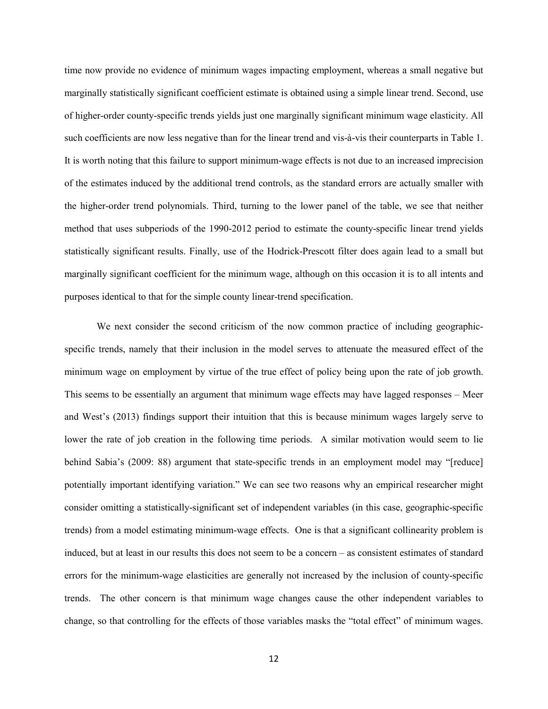time now provide no evidence of minimum wages impacting employment, whereas a small negative but marginally statistically significant coefficient estimate is obtained using a simple linear trend. Second, use of higher-order county-specific trends yields just one marginally significant minimum wage elasticity. All such coefficients are now less negative than for the linear trend and vis-à-vis their counterparts in Table 1. It is worth noting that this failure to support minimum-wage effects is not due to an increased imprecision of the estimates induced by the additional trend controls, as the standard errors are actually smaller with the higher-order trend polynomials. Third, turning to the lower panel of the table, we see that neither method that uses subperiods of the 1990-2012 period to estimate the county-specific linear trend yields statistically significant results. Finally, use of the Hodrick-Prescott filter does again lead to a small but marginally significant coefficient for the minimum wage, although on this occasion it is to all intents and purposes identical to that for the simple county linear-trend specification.

We next consider the second criticism of the now common practice of including geographicspecific trends, namely that their inclusion in the model serves to attenuate the measured effect of the minimum wage on employment by virtue of the true effect of policy being upon the rate of job growth. This seems to be essentially an argument that minimum wage effects may have lagged responses – Meer and West's (2013) findings support their intuition that this is because minimum wages largely serve to lower the rate of job creation in the following time periods. A similar motivation would seem to lie behind Sabia's (2009: 88) argument that state-specific trends in an employment model may "[reduce] potentially important identifying variation." We can see two reasons why an empirical researcher might consider omitting a statistically-significant set of independent variables (in this case, geographic-specific trends) from a model estimating minimum-wage effects. One is that a significant collinearity problem is induced, but at least in our results this does not seem to be a concern – as consistent estimates of standard errors for the minimum-wage elasticities are generally not increased by the inclusion of county-specific trends. The other concern is that minimum wage changes cause the other independent variables to change, so that controlling for the effects of those variables masks the "total effect" of minimum wages.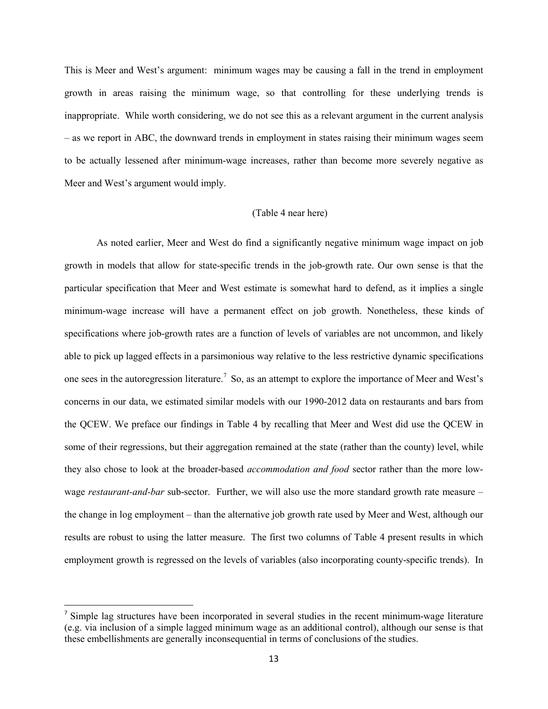This is Meer and West's argument: minimum wages may be causing a fall in the trend in employment growth in areas raising the minimum wage, so that controlling for these underlying trends is inappropriate. While worth considering, we do not see this as a relevant argument in the current analysis – as we report in ABC, the downward trends in employment in states raising their minimum wages seem to be actually lessened after minimum-wage increases, rather than become more severely negative as Meer and West's argument would imply.

### (Table 4 near here)

As noted earlier, Meer and West do find a significantly negative minimum wage impact on job growth in models that allow for state-specific trends in the job-growth rate. Our own sense is that the particular specification that Meer and West estimate is somewhat hard to defend, as it implies a single minimum-wage increase will have a permanent effect on job growth. Nonetheless, these kinds of specifications where job-growth rates are a function of levels of variables are not uncommon, and likely able to pick up lagged effects in a parsimonious way relative to the less restrictive dynamic specifications one sees in the autoregression literature.<sup>[7](#page-10-0)</sup> So, as an attempt to explore the importance of Meer and West's concerns in our data, we estimated similar models with our 1990-2012 data on restaurants and bars from the QCEW. We preface our findings in Table 4 by recalling that Meer and West did use the QCEW in some of their regressions, but their aggregation remained at the state (rather than the county) level, while they also chose to look at the broader-based *accommodation and food* sector rather than the more lowwage *restaurant-and-bar* sub-sector. Further, we will also use the more standard growth rate measure – the change in log employment – than the alternative job growth rate used by Meer and West, although our results are robust to using the latter measure. The first two columns of Table 4 present results in which employment growth is regressed on the levels of variables (also incorporating county-specific trends). In

<sup>&</sup>lt;sup>7</sup> Simple lag structures have been incorporated in several studies in the recent minimum-wage literature (e.g. via inclusion of a simple lagged minimum wage as an additional control), although our sense is that these embellishments are generally inconsequential in terms of conclusions of the studies.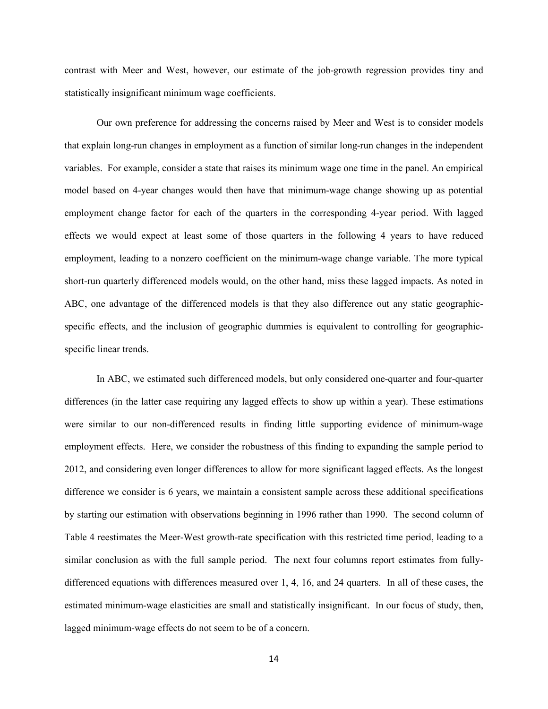contrast with Meer and West, however, our estimate of the job-growth regression provides tiny and statistically insignificant minimum wage coefficients.

Our own preference for addressing the concerns raised by Meer and West is to consider models that explain long-run changes in employment as a function of similar long-run changes in the independent variables. For example, consider a state that raises its minimum wage one time in the panel. An empirical model based on 4-year changes would then have that minimum-wage change showing up as potential employment change factor for each of the quarters in the corresponding 4-year period. With lagged effects we would expect at least some of those quarters in the following 4 years to have reduced employment, leading to a nonzero coefficient on the minimum-wage change variable. The more typical short-run quarterly differenced models would, on the other hand, miss these lagged impacts. As noted in ABC, one advantage of the differenced models is that they also difference out any static geographicspecific effects, and the inclusion of geographic dummies is equivalent to controlling for geographicspecific linear trends.

In ABC, we estimated such differenced models, but only considered one-quarter and four-quarter differences (in the latter case requiring any lagged effects to show up within a year). These estimations were similar to our non-differenced results in finding little supporting evidence of minimum-wage employment effects. Here, we consider the robustness of this finding to expanding the sample period to 2012, and considering even longer differences to allow for more significant lagged effects. As the longest difference we consider is 6 years, we maintain a consistent sample across these additional specifications by starting our estimation with observations beginning in 1996 rather than 1990. The second column of Table 4 reestimates the Meer-West growth-rate specification with this restricted time period, leading to a similar conclusion as with the full sample period. The next four columns report estimates from fullydifferenced equations with differences measured over 1, 4, 16, and 24 quarters. In all of these cases, the estimated minimum-wage elasticities are small and statistically insignificant. In our focus of study, then, lagged minimum-wage effects do not seem to be of a concern.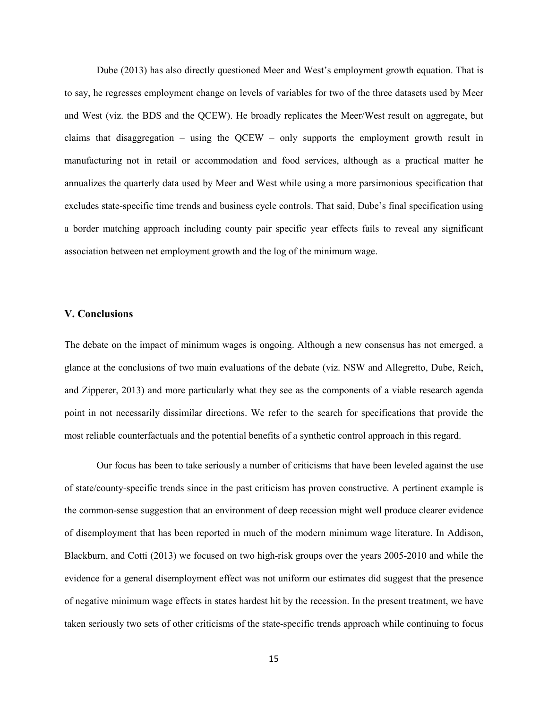Dube (2013) has also directly questioned Meer and West's employment growth equation. That is to say, he regresses employment change on levels of variables for two of the three datasets used by Meer and West (viz. the BDS and the QCEW). He broadly replicates the Meer/West result on aggregate, but claims that disaggregation – using the QCEW – only supports the employment growth result in manufacturing not in retail or accommodation and food services, although as a practical matter he annualizes the quarterly data used by Meer and West while using a more parsimonious specification that excludes state-specific time trends and business cycle controls. That said, Dube's final specification using a border matching approach including county pair specific year effects fails to reveal any significant association between net employment growth and the log of the minimum wage.

### **V. Conclusions**

The debate on the impact of minimum wages is ongoing. Although a new consensus has not emerged, a glance at the conclusions of two main evaluations of the debate (viz. NSW and Allegretto, Dube, Reich, and Zipperer, 2013) and more particularly what they see as the components of a viable research agenda point in not necessarily dissimilar directions. We refer to the search for specifications that provide the most reliable counterfactuals and the potential benefits of a synthetic control approach in this regard.

Our focus has been to take seriously a number of criticisms that have been leveled against the use of state/county-specific trends since in the past criticism has proven constructive. A pertinent example is the common-sense suggestion that an environment of deep recession might well produce clearer evidence of disemployment that has been reported in much of the modern minimum wage literature. In Addison, Blackburn, and Cotti (2013) we focused on two high-risk groups over the years 2005-2010 and while the evidence for a general disemployment effect was not uniform our estimates did suggest that the presence of negative minimum wage effects in states hardest hit by the recession. In the present treatment, we have taken seriously two sets of other criticisms of the state-specific trends approach while continuing to focus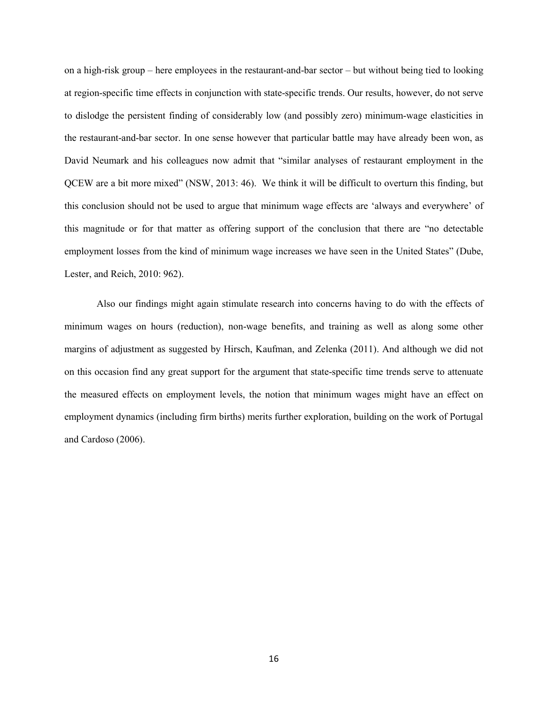on a high-risk group – here employees in the restaurant-and-bar sector – but without being tied to looking at region-specific time effects in conjunction with state-specific trends. Our results, however, do not serve to dislodge the persistent finding of considerably low (and possibly zero) minimum-wage elasticities in the restaurant-and-bar sector. In one sense however that particular battle may have already been won, as David Neumark and his colleagues now admit that "similar analyses of restaurant employment in the QCEW are a bit more mixed" (NSW, 2013: 46). We think it will be difficult to overturn this finding, but this conclusion should not be used to argue that minimum wage effects are 'always and everywhere' of this magnitude or for that matter as offering support of the conclusion that there are "no detectable employment losses from the kind of minimum wage increases we have seen in the United States" (Dube, Lester, and Reich, 2010: 962).

Also our findings might again stimulate research into concerns having to do with the effects of minimum wages on hours (reduction), non-wage benefits, and training as well as along some other margins of adjustment as suggested by Hirsch, Kaufman, and Zelenka (2011). And although we did not on this occasion find any great support for the argument that state-specific time trends serve to attenuate the measured effects on employment levels, the notion that minimum wages might have an effect on employment dynamics (including firm births) merits further exploration, building on the work of Portugal and Cardoso (2006).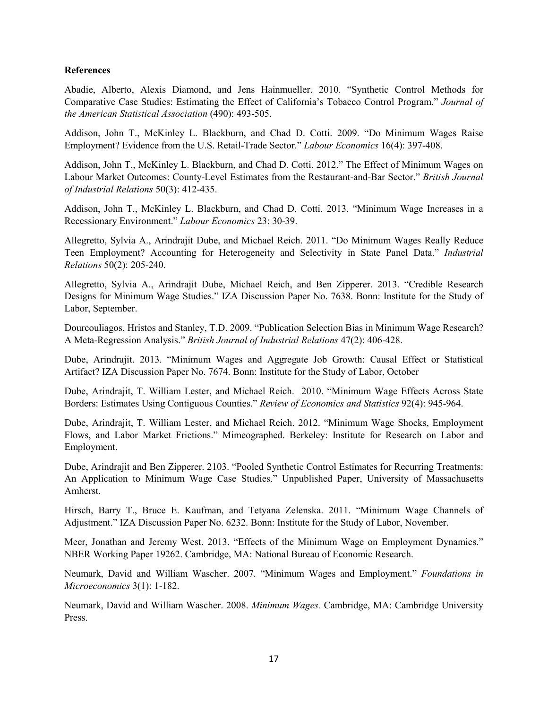# **References**

Abadie, Alberto, Alexis Diamond, and Jens Hainmueller. 2010. "Synthetic Control Methods for Comparative Case Studies: Estimating the Effect of California's Tobacco Control Program." *Journal of the American Statistical Association* (490): 493-505.

Addison, John T., McKinley L. Blackburn, and Chad D. Cotti. 2009. "Do Minimum Wages Raise Employment? Evidence from the U.S. Retail-Trade Sector." *Labour Economics* 16(4): 397-408.

Addison, John T., McKinley L. Blackburn, and Chad D. Cotti. 2012." The Effect of Minimum Wages on Labour Market Outcomes: County-Level Estimates from the Restaurant-and-Bar Sector." *British Journal of Industrial Relations* 50(3): 412-435.

Addison, John T., McKinley L. Blackburn, and Chad D. Cotti. 2013. "Minimum Wage Increases in a Recessionary Environment." *Labour Economics* 23: 30-39.

Allegretto, Sylvia A., Arindrajit Dube, and Michael Reich. 2011. "Do Minimum Wages Really Reduce Teen Employment? Accounting for Heterogeneity and Selectivity in State Panel Data." *Industrial Relations* 50(2): 205-240.

Allegretto, Sylvia A., Arindrajit Dube, Michael Reich, and Ben Zipperer. 2013. "Credible Research Designs for Minimum Wage Studies." IZA Discussion Paper No. 7638. Bonn: Institute for the Study of Labor, September.

Dourcouliagos, Hristos and Stanley, T.D. 2009. "Publication Selection Bias in Minimum Wage Research? A Meta-Regression Analysis." *British Journal of Industrial Relations* 47(2): 406-428.

Dube, Arindrajit. 2013. "Minimum Wages and Aggregate Job Growth: Causal Effect or Statistical Artifact? IZA Discussion Paper No. 7674. Bonn: Institute for the Study of Labor, October

Dube, Arindrajit, T. William Lester, and Michael Reich. 2010. "Minimum Wage Effects Across State Borders: Estimates Using Contiguous Counties." *Review of Economics and Statistics* 92(4): 945-964.

Dube, Arindrajit, T. William Lester, and Michael Reich. 2012. "Minimum Wage Shocks, Employment Flows, and Labor Market Frictions." Mimeographed. Berkeley: Institute for Research on Labor and Employment.

Dube, Arindrajit and Ben Zipperer. 2103. "Pooled Synthetic Control Estimates for Recurring Treatments: An Application to Minimum Wage Case Studies." Unpublished Paper, University of Massachusetts Amherst.

Hirsch, Barry T., Bruce E. Kaufman, and Tetyana Zelenska. 2011. "Minimum Wage Channels of Adjustment." IZA Discussion Paper No. 6232. Bonn: Institute for the Study of Labor, November.

Meer, Jonathan and Jeremy West. 2013. "Effects of the Minimum Wage on Employment Dynamics." NBER Working Paper 19262. Cambridge, MA: National Bureau of Economic Research.

Neumark, David and William Wascher. 2007. "Minimum Wages and Employment." *Foundations in Microeconomics* 3(1): 1-182.

Neumark, David and William Wascher. 2008. *Minimum Wages.* Cambridge, MA: Cambridge University Press.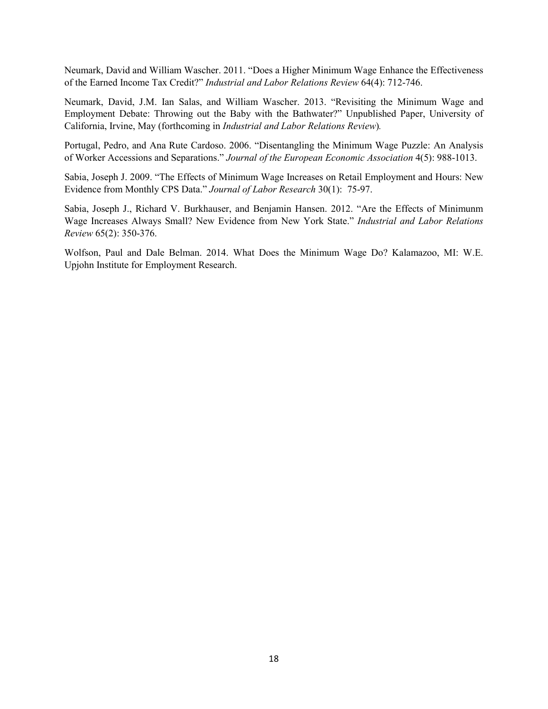Neumark, David and William Wascher. 2011. "Does a Higher Minimum Wage Enhance the Effectiveness of the Earned Income Tax Credit?" *Industrial and Labor Relations Review* 64(4): 712-746.

Neumark, David, J.M. Ian Salas, and William Wascher. 2013. "Revisiting the Minimum Wage and Employment Debate: Throwing out the Baby with the Bathwater?" Unpublished Paper, University of California, Irvine, May (forthcoming in *Industrial and Labor Relations Review*)*.*

Portugal, Pedro, and Ana Rute Cardoso. 2006. "Disentangling the Minimum Wage Puzzle: An Analysis of Worker Accessions and Separations." *Journal of the European Economic Association* 4(5): 988-1013.

Sabia, Joseph J. 2009. "The Effects of Minimum Wage Increases on Retail Employment and Hours: New Evidence from Monthly CPS Data." *Journal of Labor Research* 30(1): 75-97.

Sabia, Joseph J., Richard V. Burkhauser, and Benjamin Hansen. 2012. "Are the Effects of Minimunm Wage Increases Always Small? New Evidence from New York State." *Industrial and Labor Relations Review* 65(2): 350-376.

Wolfson, Paul and Dale Belman. 2014. What Does the Minimum Wage Do? Kalamazoo, MI: W.E. Upjohn Institute for Employment Research.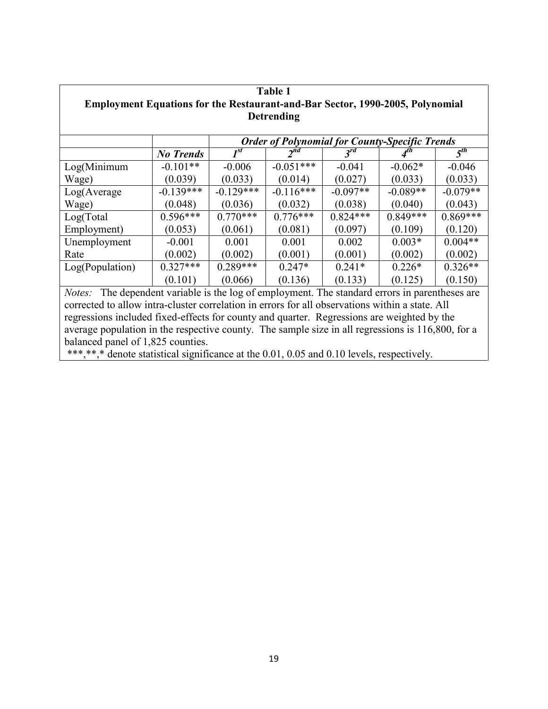| <b>Table 1</b>                                                                                    |                  |                                                       |             |            |            |            |  |  |
|---------------------------------------------------------------------------------------------------|------------------|-------------------------------------------------------|-------------|------------|------------|------------|--|--|
| <b>Employment Equations for the Restaurant-and-Bar Sector, 1990-2005, Polynomial</b>              |                  |                                                       |             |            |            |            |  |  |
| <b>Detrending</b>                                                                                 |                  |                                                       |             |            |            |            |  |  |
|                                                                                                   |                  |                                                       |             |            |            |            |  |  |
|                                                                                                   |                  | <b>Order of Polynomial for County-Specific Trends</b> |             |            |            |            |  |  |
|                                                                                                   | <b>No Trends</b> | $I^{st}$                                              | $2^{nd}$    | $3^{rd}$   |            | $5^{th}$   |  |  |
| Log(Minimum)                                                                                      | $-0.101**$       | $-0.006$                                              | $-0.051***$ | $-0.041$   | $-0.062*$  | $-0.046$   |  |  |
| Wage)                                                                                             | (0.039)          | (0.033)                                               | (0.014)     | (0.027)    | (0.033)    | (0.033)    |  |  |
| Log(Average)                                                                                      | $-0.139***$      | $-0.129***$                                           | $-0.116***$ | $-0.097**$ | $-0.089**$ | $-0.079**$ |  |  |
| Wage)                                                                                             | (0.048)          | (0.036)                                               | (0.032)     | (0.038)    | (0.040)    | (0.043)    |  |  |
| Log(Total)                                                                                        | $0.596***$       | $0.770***$                                            | $0.776***$  | $0.824***$ | $0.849***$ | $0.869***$ |  |  |
| Employment)                                                                                       | (0.053)          | (0.061)                                               | (0.081)     | (0.097)    | (0.109)    | (0.120)    |  |  |
| Unemployment                                                                                      | $-0.001$         | 0.001                                                 | 0.001       | 0.002      | $0.003*$   | $0.004**$  |  |  |
| Rate                                                                                              | (0.002)          | (0.002)                                               | (0.001)     | (0.001)    | (0.002)    | (0.002)    |  |  |
| Log(Population)                                                                                   | $0.327***$       | $0.289***$                                            | $0.247*$    | $0.241*$   | $0.226*$   | $0.326**$  |  |  |
|                                                                                                   | (0.101)          | (0.066)                                               | (0.136)     | (0.133)    | (0.125)    | (0.150)    |  |  |
| The dependent variable is the log of employment. The standard errors in parentheses are<br>Notes: |                  |                                                       |             |            |            |            |  |  |
| corrected to allow intra-cluster correlation in errors for all observations within a state. All   |                  |                                                       |             |            |            |            |  |  |

regressions included fixed-effects for county and quarter. Regressions are weighted by the average population in the respective county. The sample size in all regressions is  $116,800$ , for a balanced panel of 1,825 counties.

\*\*\*,\*\*,\* denote statistical significance at the 0.01, 0.05 and 0.10 levels, respectively.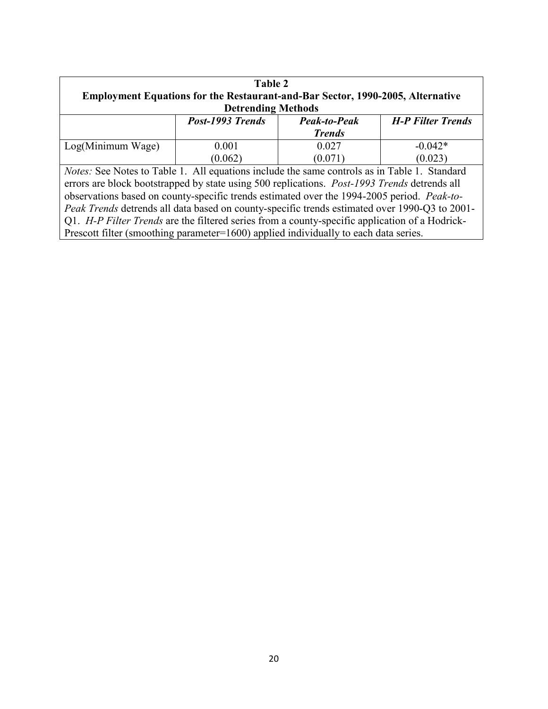| Table 2                                                                                             |                  |               |                          |  |  |  |  |
|-----------------------------------------------------------------------------------------------------|------------------|---------------|--------------------------|--|--|--|--|
| <b>Employment Equations for the Restaurant-and-Bar Sector, 1990-2005, Alternative</b>               |                  |               |                          |  |  |  |  |
| <b>Detrending Methods</b>                                                                           |                  |               |                          |  |  |  |  |
|                                                                                                     | Post-1993 Trends | Peak-to-Peak  | <b>H-P Filter Trends</b> |  |  |  |  |
|                                                                                                     |                  | <b>Trends</b> |                          |  |  |  |  |
| Log(Minimum Wage)                                                                                   | 0.001            | 0.027         | $-0.042*$                |  |  |  |  |
|                                                                                                     | (0.062)          | (0.071)       | (0.023)                  |  |  |  |  |
| <i>Notes:</i> See Notes to Table 1. All equations include the same controls as in Table 1. Standard |                  |               |                          |  |  |  |  |
| errors are block bootstrapped by state using 500 replications. Post-1993 Trends detrends all        |                  |               |                          |  |  |  |  |
| observations based on county-specific trends estimated over the 1994-2005 period. Peak-to-          |                  |               |                          |  |  |  |  |
| Peak Trends detrends all data based on county-specific trends estimated over 1990-Q3 to 2001-       |                  |               |                          |  |  |  |  |
| Q1. H-P Filter Trends are the filtered series from a county-specific application of a Hodrick-      |                  |               |                          |  |  |  |  |
| Prescott filter (smoothing parameter=1600) applied individually to each data series.                |                  |               |                          |  |  |  |  |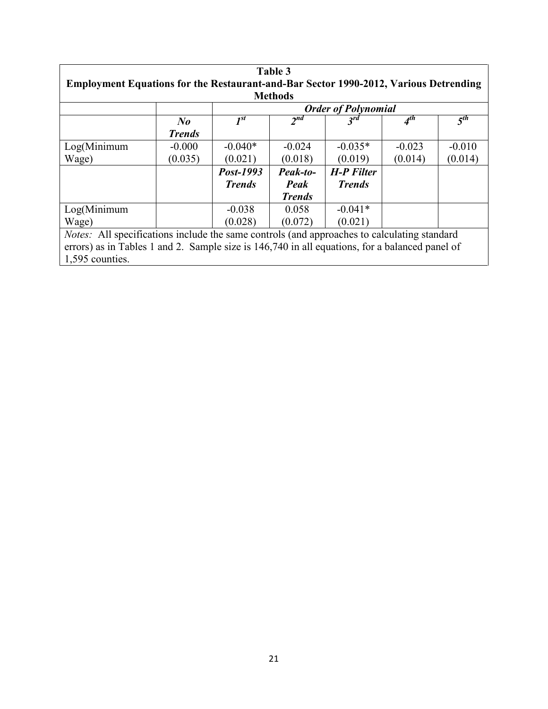| Table 3                                                                                        |               |                            |                 |                   |                 |          |
|------------------------------------------------------------------------------------------------|---------------|----------------------------|-----------------|-------------------|-----------------|----------|
| <b>Employment Equations for the Restaurant-and-Bar Sector 1990-2012, Various Detrending</b>    |               |                            |                 |                   |                 |          |
| <b>Methods</b>                                                                                 |               |                            |                 |                   |                 |          |
|                                                                                                |               | <b>Order of Polynomial</b> |                 |                   |                 |          |
|                                                                                                | $N_{0}$       | $I^{st}$                   | 2 <sub>nd</sub> | $3^{rd}$          | A <sup>th</sup> | $5^{th}$ |
|                                                                                                | <b>Trends</b> |                            |                 |                   |                 |          |
| Log(Minimum)                                                                                   | $-0.000$      | $-0.040*$                  | $-0.024$        | $-0.035*$         | $-0.023$        | $-0.010$ |
| Wage)                                                                                          | (0.035)       | (0.021)                    | (0.018)         | (0.019)           | (0.014)         | (0.014)  |
|                                                                                                |               | Post-1993                  | Peak-to-        | <b>H-P Filter</b> |                 |          |
|                                                                                                |               | <i>Trends</i>              | Peak            | <b>Trends</b>     |                 |          |
|                                                                                                |               |                            | <b>Trends</b>   |                   |                 |          |
| Log(Minimum)                                                                                   |               | $-0.038$                   | 0.058           | $-0.041*$         |                 |          |
| Wage)                                                                                          |               | (0.028)                    | (0.072)         | (0.021)           |                 |          |
| Notes: All specifications include the same controls (and approaches to calculating standard    |               |                            |                 |                   |                 |          |
| errors) as in Tables 1 and 2. Sample size is 146,740 in all equations, for a balanced panel of |               |                            |                 |                   |                 |          |
| 1,595 counties.                                                                                |               |                            |                 |                   |                 |          |